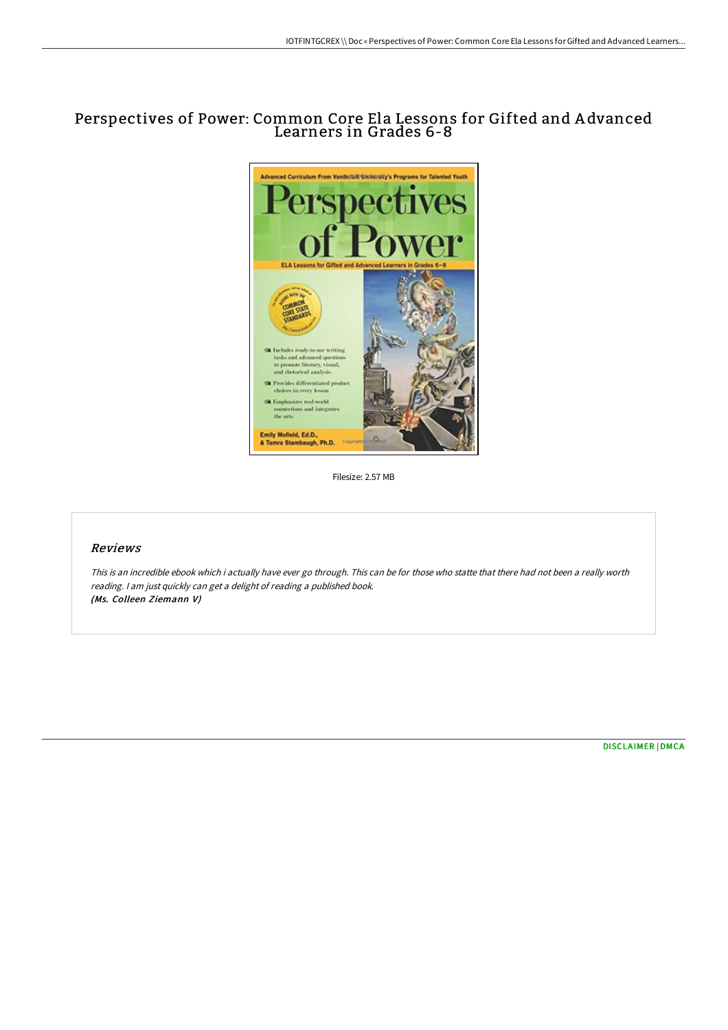## Perspectives of Power: Common Core Ela Lessons for Gifted and A dvanced Learners in Grades 6-8



Filesize: 2.57 MB

## Reviews

This is an incredible ebook which i actually have ever go through. This can be for those who statte that there had not been <sup>a</sup> really worth reading. <sup>I</sup> am just quickly can get <sup>a</sup> delight of reading <sup>a</sup> published book. (Ms. Colleen Ziemann V)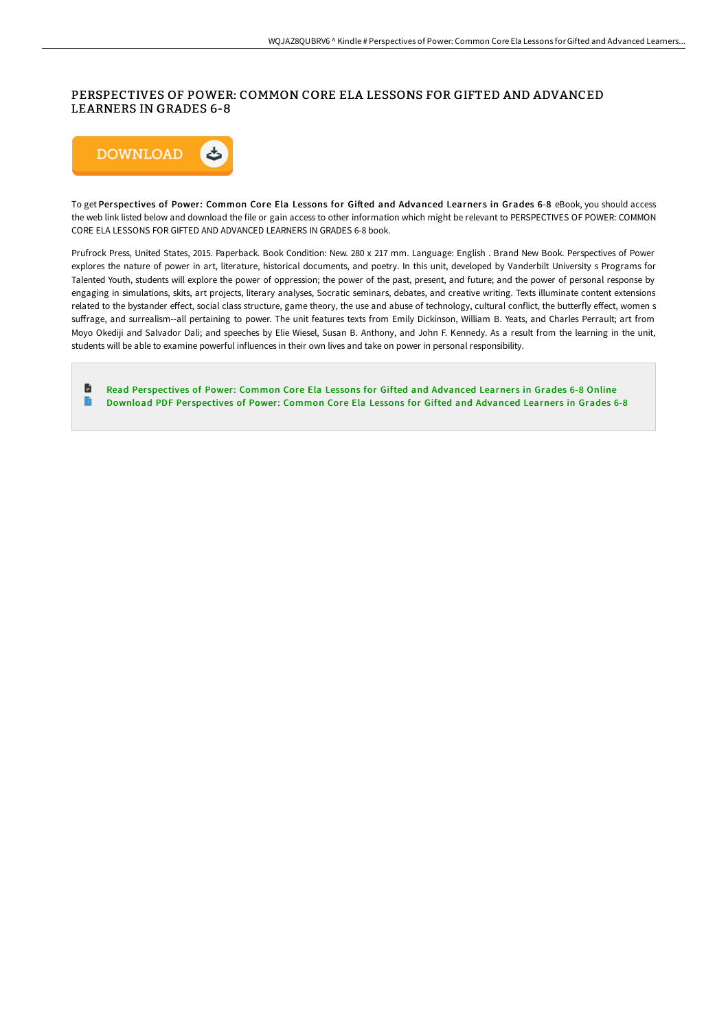## PERSPECTIVES OF POWER: COMMON CORE ELA LESSONS FOR GIFTED AND ADVANCED LEARNERS IN GRADES 6-8



To get Perspectives of Power: Common Core Ela Lessons for Gifted and Advanced Learners in Grades 6-8 eBook, you should access the web link listed below and download the file or gain access to other information which might be relevant to PERSPECTIVES OF POWER: COMMON CORE ELA LESSONS FOR GIFTED AND ADVANCED LEARNERS IN GRADES 6-8 book.

Prufrock Press, United States, 2015. Paperback. Book Condition: New. 280 x 217 mm. Language: English . Brand New Book. Perspectives of Power explores the nature of power in art, literature, historical documents, and poetry. In this unit, developed by Vanderbilt University s Programs for Talented Youth, students will explore the power of oppression; the power of the past, present, and future; and the power of personal response by engaging in simulations, skits, art projects, literary analyses, Socratic seminars, debates, and creative writing. Texts illuminate content extensions related to the bystander effect, social class structure, game theory, the use and abuse of technology, cultural conflict, the butterfly effect, women s suffrage, and surrealism--all pertaining to power. The unit features texts from Emily Dickinson, William B. Yeats, and Charles Perrault; art from Moyo Okediji and Salvador Dali; and speeches by Elie Wiesel, Susan B. Anthony, and John F. Kennedy. As a result from the learning in the unit, students will be able to examine powerful influences in their own lives and take on power in personal responsibility.

Ð Read Perspectives of Power: Common Core Ela Lessons for Gifted and [Advanced](http://digilib.live/perspectives-of-power-common-core-ela-lessons-fo.html) Learners in Grades 6-8 Online B [Download](http://digilib.live/perspectives-of-power-common-core-ela-lessons-fo.html) PDF Perspectives of Power: Common Core Ela Lessons for Gifted and Advanced Learners in Grades 6-8